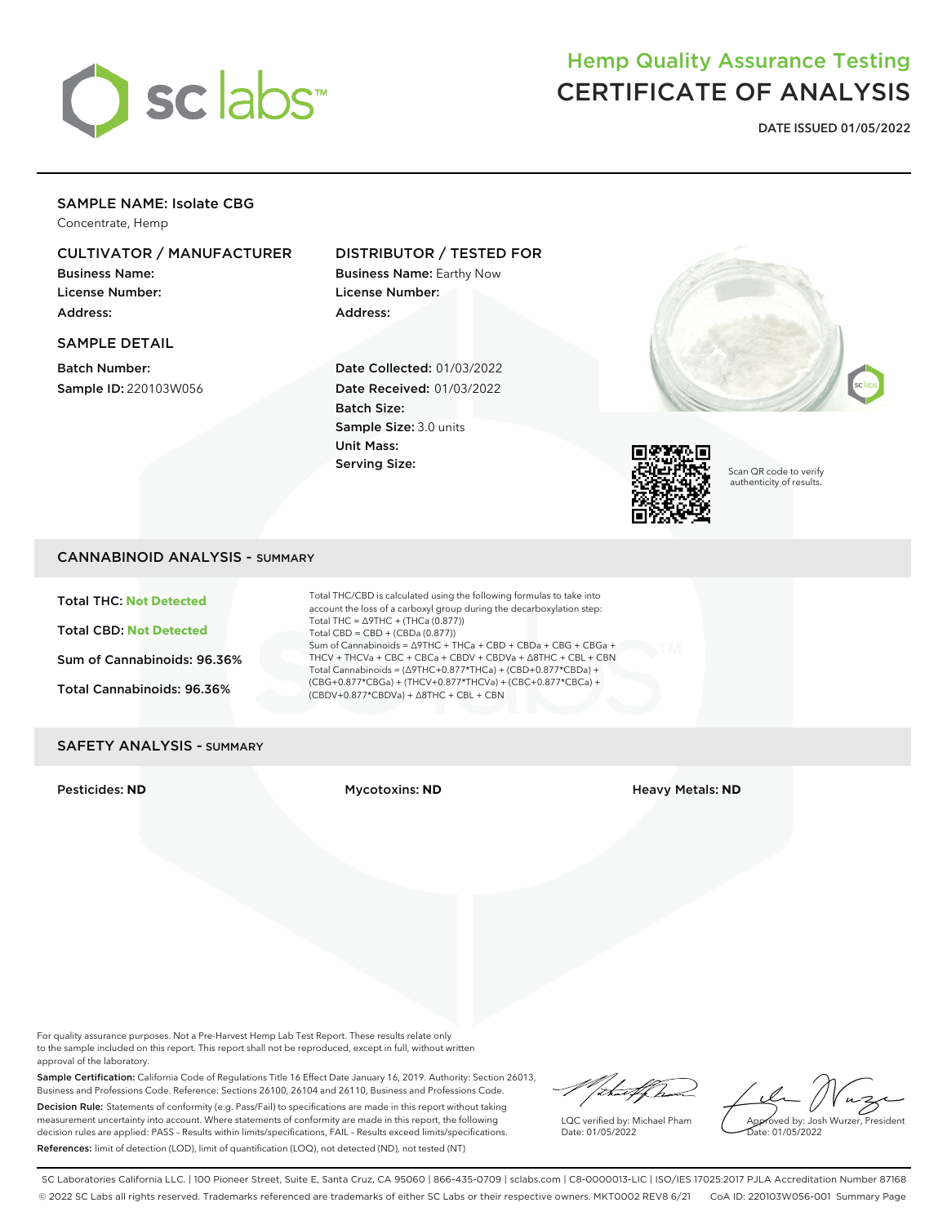

## Hemp Quality Assurance Testing CERTIFICATE OF ANALYSIS

**DATE ISSUED 01/05/2022**

## SAMPLE NAME: Isolate CBG

Concentrate, Hemp

## CULTIVATOR / MANUFACTURER

Business Name: License Number: Address:

## SAMPLE DETAIL

Batch Number: Sample ID: 220103W056

## DISTRIBUTOR / TESTED FOR

Business Name: Earthy Now License Number: Address:

Date Collected: 01/03/2022 Date Received: 01/03/2022 Batch Size: Sample Size: 3.0 units Unit Mass: Serving Size:





Scan QR code to verify authenticity of results.

## CANNABINOID ANALYSIS - SUMMARY

Total THC: **Not Detected**

Total CBD: **Not Detected**

Sum of Cannabinoids: 96.36%

Total Cannabinoids: 96.36%

Total THC/CBD is calculated using the following formulas to take into account the loss of a carboxyl group during the decarboxylation step: Total THC = ∆9THC + (THCa (0.877)) Total CBD = CBD + (CBDa (0.877)) Sum of Cannabinoids = ∆9THC + THCa + CBD + CBDa + CBG + CBGa + THCV + THCVa + CBC + CBCa + CBDV + CBDVa + ∆8THC + CBL + CBN Total Cannabinoids = (∆9THC+0.877\*THCa) + (CBD+0.877\*CBDa) + (CBG+0.877\*CBGa) + (THCV+0.877\*THCVa) + (CBC+0.877\*CBCa) + (CBDV+0.877\*CBDVa) + ∆8THC + CBL + CBN

### SAFETY ANALYSIS - SUMMARY

Pesticides: **ND** Mycotoxins: **ND** Heavy Metals: **ND**

For quality assurance purposes. Not a Pre-Harvest Hemp Lab Test Report. These results relate only to the sample included on this report. This report shall not be reproduced, except in full, without written approval of the laboratory.

Sample Certification: California Code of Regulations Title 16 Effect Date January 16, 2019. Authority: Section 26013, Business and Professions Code. Reference: Sections 26100, 26104 and 26110, Business and Professions Code. Decision Rule: Statements of conformity (e.g. Pass/Fail) to specifications are made in this report without taking measurement uncertainty into account. Where statements of conformity are made in this report, the following decision rules are applied: PASS – Results within limits/specifications, FAIL – Results exceed limits/specifications. References: limit of detection (LOD), limit of quantification (LOQ), not detected (ND), not tested (NT)

"/thatfhan

LQC verified by: Michael Pham Date: 01/05/2022

Approved by: Josh Wurzer, President ate: 01/05/2022

SC Laboratories California LLC. | 100 Pioneer Street, Suite E, Santa Cruz, CA 95060 | 866-435-0709 | sclabs.com | C8-0000013-LIC | ISO/IES 17025:2017 PJLA Accreditation Number 87168 © 2022 SC Labs all rights reserved. Trademarks referenced are trademarks of either SC Labs or their respective owners. MKT0002 REV8 6/21 CoA ID: 220103W056-001 Summary Page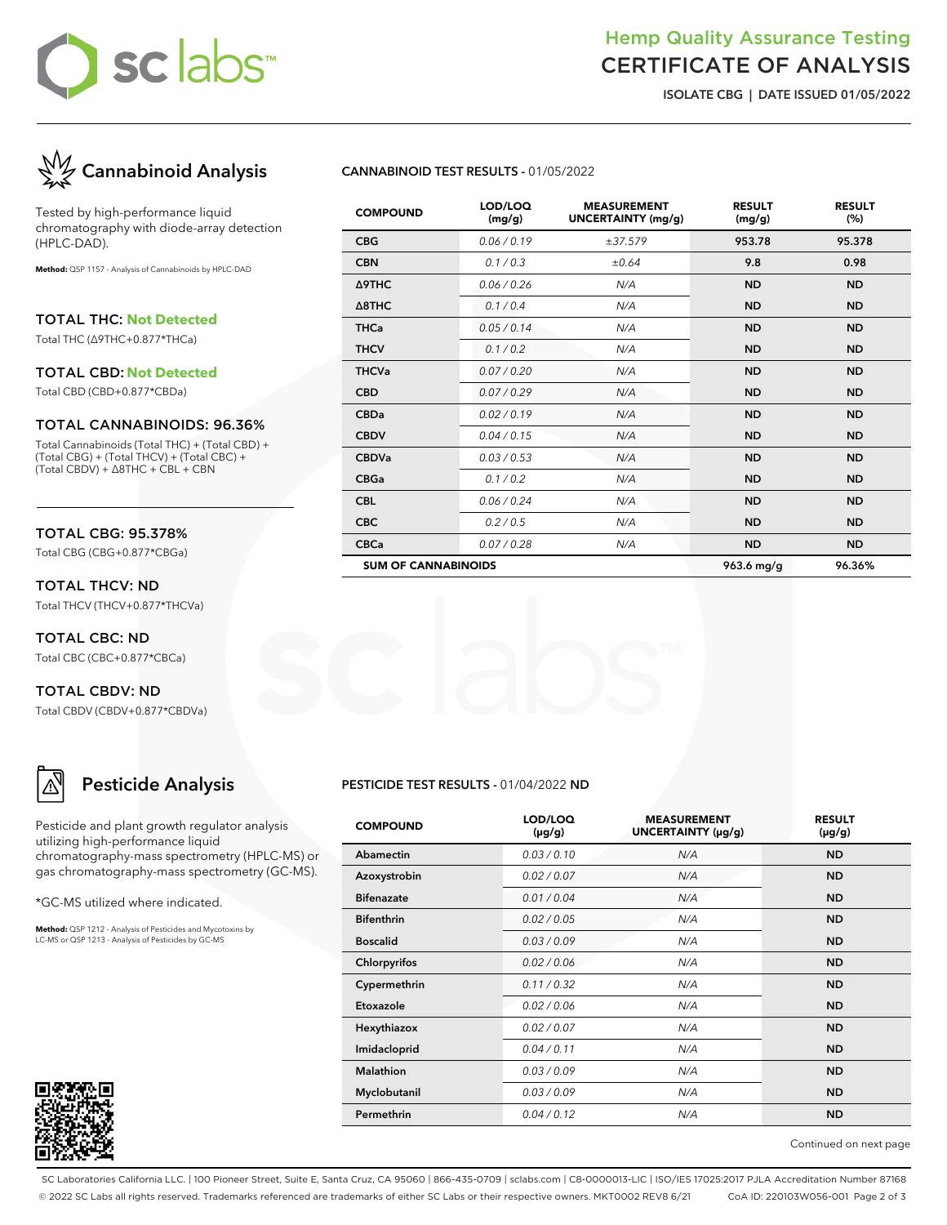# sc labs™

## Hemp Quality Assurance Testing CERTIFICATE OF ANALYSIS

**ISOLATE CBG | DATE ISSUED 01/05/2022**



Tested by high-performance liquid chromatography with diode-array detection (HPLC-DAD).

**Method:** QSP 1157 - Analysis of Cannabinoids by HPLC-DAD

TOTAL THC: **Not Detected**

Total THC (∆9THC+0.877\*THCa)

#### TOTAL CBD: **Not Detected**

Total CBD (CBD+0.877\*CBDa)

#### TOTAL CANNABINOIDS: 96.36%

Total Cannabinoids (Total THC) + (Total CBD) + (Total CBG) + (Total THCV) + (Total CBC) + (Total CBDV) + ∆8THC + CBL + CBN

#### TOTAL CBG: 95.378%

Total CBG (CBG+0.877\*CBGa)

TOTAL THCV: ND Total THCV (THCV+0.877\*THCVa)

TOTAL CBC: ND Total CBC (CBC+0.877\*CBCa)

TOTAL CBDV: ND Total CBDV (CBDV+0.877\*CBDVa)

## **Pesticide Analysis**

Pesticide and plant growth regulator analysis utilizing high-performance liquid chromatography-mass spectrometry (HPLC-MS) or gas chromatography-mass spectrometry (GC-MS).

\*GC-MS utilized where indicated.

**Method:** QSP 1212 - Analysis of Pesticides and Mycotoxins by LC-MS or QSP 1213 - Analysis of Pesticides by GC-MS



## **CANNABINOID TEST RESULTS -** 01/05/2022

| <b>COMPOUND</b>            | LOD/LOQ<br>(mg/g) | <b>MEASUREMENT</b><br><b>UNCERTAINTY (mg/g)</b> | <b>RESULT</b><br>(mg/g) | <b>RESULT</b><br>(%) |
|----------------------------|-------------------|-------------------------------------------------|-------------------------|----------------------|
| <b>CBG</b>                 | 0.06/0.19         | ±37.579                                         | 953.78                  | 95.378               |
| <b>CBN</b>                 | 0.1/0.3           | ±0.64                                           | 9.8                     | 0.98                 |
| Δ9THC                      | 0.06 / 0.26       | N/A                                             | <b>ND</b>               | <b>ND</b>            |
| $\triangle$ 8THC           | 0.1/0.4           | N/A                                             | <b>ND</b>               | <b>ND</b>            |
| <b>THCa</b>                | 0.05/0.14         | N/A                                             | <b>ND</b>               | <b>ND</b>            |
| <b>THCV</b>                | 0.1/0.2           | N/A                                             | <b>ND</b>               | <b>ND</b>            |
| <b>THCVa</b>               | 0.07 / 0.20       | N/A                                             | <b>ND</b>               | <b>ND</b>            |
| <b>CBD</b>                 | 0.07 / 0.29       | N/A                                             | <b>ND</b>               | <b>ND</b>            |
| <b>CBDa</b>                | 0.02 / 0.19       | N/A                                             | <b>ND</b>               | <b>ND</b>            |
| <b>CBDV</b>                | 0.04 / 0.15       | N/A                                             | <b>ND</b>               | <b>ND</b>            |
| <b>CBDVa</b>               | 0.03 / 0.53       | N/A                                             | <b>ND</b>               | <b>ND</b>            |
| <b>CBGa</b>                | 0.1 / 0.2         | N/A                                             | <b>ND</b>               | <b>ND</b>            |
| <b>CBL</b>                 | 0.06 / 0.24       | N/A                                             | <b>ND</b>               | <b>ND</b>            |
| <b>CBC</b>                 | 0.2 / 0.5         | N/A                                             | <b>ND</b>               | <b>ND</b>            |
| <b>CBCa</b>                | 0.07 / 0.28       | N/A                                             | <b>ND</b>               | <b>ND</b>            |
| <b>SUM OF CANNABINOIDS</b> |                   |                                                 | 963.6 mg/g              | 96.36%               |

#### **PESTICIDE TEST RESULTS -** 01/04/2022 **ND**

| <b>COMPOUND</b>   | LOD/LOQ<br>$(\mu g/g)$ | <b>MEASUREMENT</b><br>UNCERTAINTY (µg/g) | <b>RESULT</b><br>(µg/g) |
|-------------------|------------------------|------------------------------------------|-------------------------|
| Abamectin         | 0.03/0.10              | N/A                                      | <b>ND</b>               |
| Azoxystrobin      | 0.02 / 0.07            | N/A                                      | <b>ND</b>               |
| <b>Bifenazate</b> | 0.01 / 0.04            | N/A                                      | <b>ND</b>               |
| <b>Bifenthrin</b> | 0.02 / 0.05            | N/A                                      | <b>ND</b>               |
| <b>Boscalid</b>   | 0.03/0.09              | N/A                                      | <b>ND</b>               |
| Chlorpyrifos      | 0.02 / 0.06            | N/A                                      | <b>ND</b>               |
| Cypermethrin      | 0.11/0.32              | N/A                                      | <b>ND</b>               |
| Etoxazole         | 0.02 / 0.06            | N/A                                      | <b>ND</b>               |
| Hexythiazox       | 0.02 / 0.07            | N/A                                      | <b>ND</b>               |
| Imidacloprid      | 0.04 / 0.11            | N/A                                      | <b>ND</b>               |
| Malathion         | 0.03/0.09              | N/A                                      | <b>ND</b>               |
| Myclobutanil      | 0.03/0.09              | N/A                                      | <b>ND</b>               |
| Permethrin        | 0.04 / 0.12            | N/A                                      | <b>ND</b>               |

Continued on next page

SC Laboratories California LLC. | 100 Pioneer Street, Suite E, Santa Cruz, CA 95060 | 866-435-0709 | sclabs.com | C8-0000013-LIC | ISO/IES 17025:2017 PJLA Accreditation Number 87168 © 2022 SC Labs all rights reserved. Trademarks referenced are trademarks of either SC Labs or their respective owners. MKT0002 REV8 6/21 CoA ID: 220103W056-001 Page 2 of 3